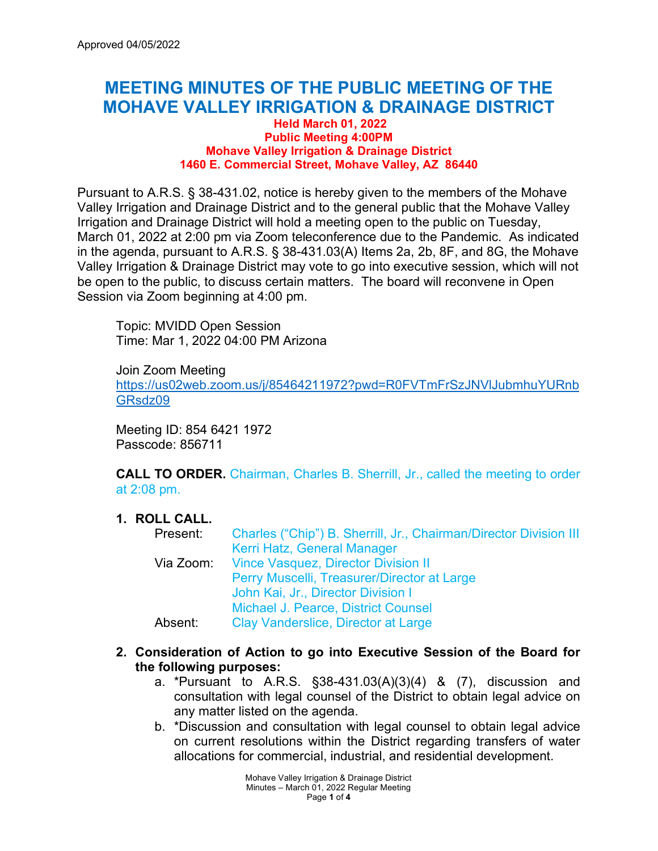# **MEETING MINUTES OF THE PUBLIC MEETING OF THE MOHAVE VALLEY IRRIGATION & DRAINAGE DISTRICT**

#### **Held March 01, 2022 Public Meeting 4:00PM Mohave Valley Irrigation & Drainage District 1460 E. Commercial Street, Mohave Valley, AZ 86440**

Pursuant to A.R.S. § 38-431.02, notice is hereby given to the members of the Mohave Valley Irrigation and Drainage District and to the general public that the Mohave Valley Irrigation and Drainage District will hold a meeting open to the public on Tuesday, March 01, 2022 at 2:00 pm via Zoom teleconference due to the Pandemic. As indicated in the agenda, pursuant to A.R.S. § 38-431.03(A) Items 2a, 2b, 8F, and 8G, the Mohave Valley Irrigation & Drainage District may vote to go into executive session, which will not be open to the public, to discuss certain matters. The board will reconvene in Open Session via Zoom beginning at 4:00 pm.

Topic: MVIDD Open Session Time: Mar 1, 2022 04:00 PM Arizona

Join Zoom Meeting [https://us02web.zoom.us/j/85464211972?pwd=R0FVTmFrSzJNVlJubmhuYURnb](https://us02web.zoom.us/j/85464211972?pwd=R0FVTmFrSzJNVlJubmhuYURnbGRsdz09) [GRsdz09](https://us02web.zoom.us/j/85464211972?pwd=R0FVTmFrSzJNVlJubmhuYURnbGRsdz09) 

Meeting ID: 854 6421 1972 Passcode: 856711

**CALL TO ORDER.** Chairman, Charles B. Sherrill, Jr., called the meeting to order at 2:08 pm.

## **1. ROLL CALL.**

| Present: | Charles ("Chip") B. Sherrill, Jr., Chairman/Director Division III |
|----------|-------------------------------------------------------------------|
|          | Kerri Hatz, General Manager                                       |
|          | Via Zoom: Vince Vasquez, Director Division II                     |
|          | Perry Muscelli, Treasurer/Director at Large                       |
|          | John Kai, Jr., Director Division I                                |
|          | Michael J. Pearce, District Counsel                               |
| Absent:  | Clay Vanderslice, Director at Large                               |

## **2. Consideration of Action to go into Executive Session of the Board for the following purposes:**

- a. \*Pursuant to A.R.S. §38-431.03(A)(3)(4) & (7), discussion and consultation with legal counsel of the District to obtain legal advice on any matter listed on the agenda.
- b. \*Discussion and consultation with legal counsel to obtain legal advice on current resolutions within the District regarding transfers of water allocations for commercial, industrial, and residential development.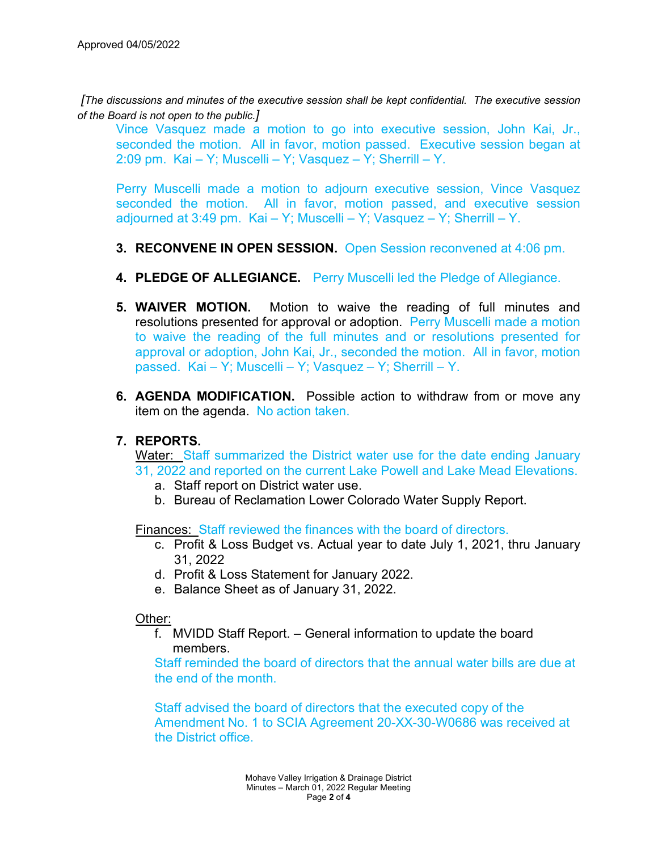*[The discussions and minutes of the executive session shall be kept confidential. The executive session of the Board is not open to the public.]*

Vince Vasquez made a motion to go into executive session, John Kai, Jr., seconded the motion. All in favor, motion passed. Executive session began at 2:09 pm. Kai – Y; Muscelli – Y; Vasquez – Y; Sherrill – Y.

Perry Muscelli made a motion to adjourn executive session, Vince Vasquez seconded the motion. All in favor, motion passed, and executive session adjourned at 3:49 pm. Kai – Y; Muscelli – Y; Vasquez – Y; Sherrill – Y.

- **3. RECONVENE IN OPEN SESSION.** Open Session reconvened at 4:06 pm.
- **4. PLEDGE OF ALLEGIANCE.** Perry Muscelli led the Pledge of Allegiance.
- **5. WAIVER MOTION.** Motion to waive the reading of full minutes and resolutions presented for approval or adoption. Perry Muscelli made a motion to waive the reading of the full minutes and or resolutions presented for approval or adoption, John Kai, Jr., seconded the motion. All in favor, motion passed. Kai – Y; Muscelli – Y; Vasquez – Y; Sherrill – Y.
- **6. AGENDA MODIFICATION.** Possible action to withdraw from or move any item on the agenda. No action taken.

## **7. REPORTS.**

Water: Staff summarized the District water use for the date ending January 31, 2022 and reported on the current Lake Powell and Lake Mead Elevations.

- a. Staff report on District water use.
- b. Bureau of Reclamation Lower Colorado Water Supply Report.

Finances: Staff reviewed the finances with the board of directors.

- c. Profit & Loss Budget vs. Actual year to date July 1, 2021, thru January 31, 2022
- d. Profit & Loss Statement for January 2022.
- e. Balance Sheet as of January 31, 2022.

### Other:

f. MVIDD Staff Report. – General information to update the board members.

Staff reminded the board of directors that the annual water bills are due at the end of the month.

Staff advised the board of directors that the executed copy of the Amendment No. 1 to SCIA Agreement 20-XX-30-W0686 was received at the District office.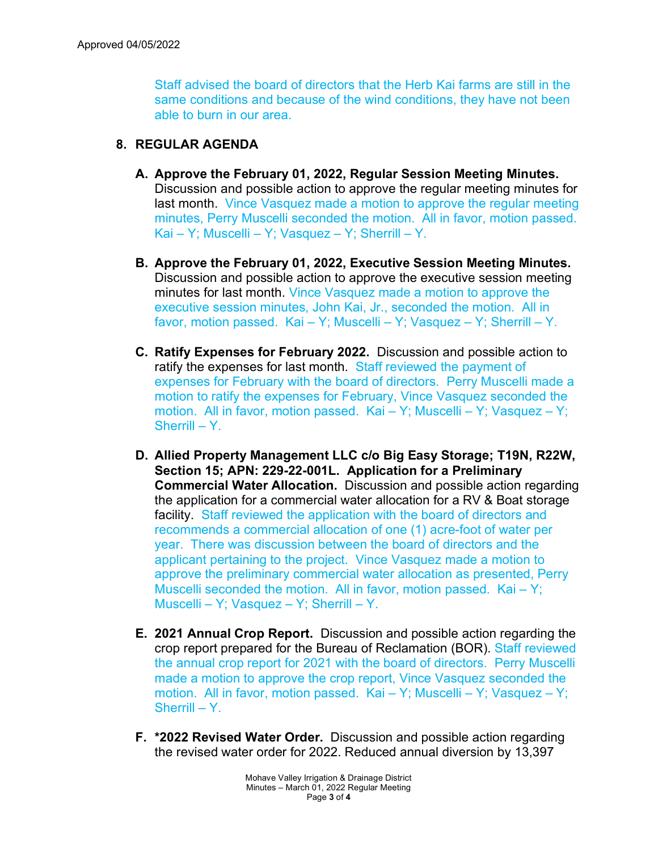Staff advised the board of directors that the Herb Kai farms are still in the same conditions and because of the wind conditions, they have not been able to burn in our area.

# **8. REGULAR AGENDA**

- **A. Approve the February 01, 2022, Regular Session Meeting Minutes.**  Discussion and possible action to approve the regular meeting minutes for last month. Vince Vasquez made a motion to approve the regular meeting minutes, Perry Muscelli seconded the motion. All in favor, motion passed. Kai – Y; Muscelli – Y; Vasquez – Y; Sherrill – Y.
- **B. Approve the February 01, 2022, Executive Session Meeting Minutes.** Discussion and possible action to approve the executive session meeting minutes for last month. Vince Vasquez made a motion to approve the executive session minutes, John Kai, Jr., seconded the motion. All in favor, motion passed. Kai – Y; Muscelli – Y; Vasquez – Y; Sherrill – Y.
- **C. Ratify Expenses for February 2022.** Discussion and possible action to ratify the expenses for last month. Staff reviewed the payment of expenses for February with the board of directors. Perry Muscelli made a motion to ratify the expenses for February, Vince Vasquez seconded the motion. All in favor, motion passed. Kai – Y; Muscelli – Y; Vasquez – Y; Sherrill – Y.
- **D. Allied Property Management LLC c/o Big Easy Storage; T19N, R22W, Section 15; APN: 229-22-001L. Application for a Preliminary Commercial Water Allocation.** Discussion and possible action regarding the application for a commercial water allocation for a RV & Boat storage facility. Staff reviewed the application with the board of directors and recommends a commercial allocation of one (1) acre-foot of water per year. There was discussion between the board of directors and the applicant pertaining to the project. Vince Vasquez made a motion to approve the preliminary commercial water allocation as presented, Perry Muscelli seconded the motion. All in favor, motion passed. Kai – Y; Muscelli – Y; Vasquez – Y; Sherrill – Y.
- **E. 2021 Annual Crop Report.** Discussion and possible action regarding the crop report prepared for the Bureau of Reclamation (BOR). Staff reviewed the annual crop report for 2021 with the board of directors. Perry Muscelli made a motion to approve the crop report, Vince Vasquez seconded the motion. All in favor, motion passed. Kai – Y; Muscelli – Y; Vasquez – Y; Sherrill –  $Y$ .
- **F. \*2022 Revised Water Order.** Discussion and possible action regarding the revised water order for 2022. Reduced annual diversion by 13,397